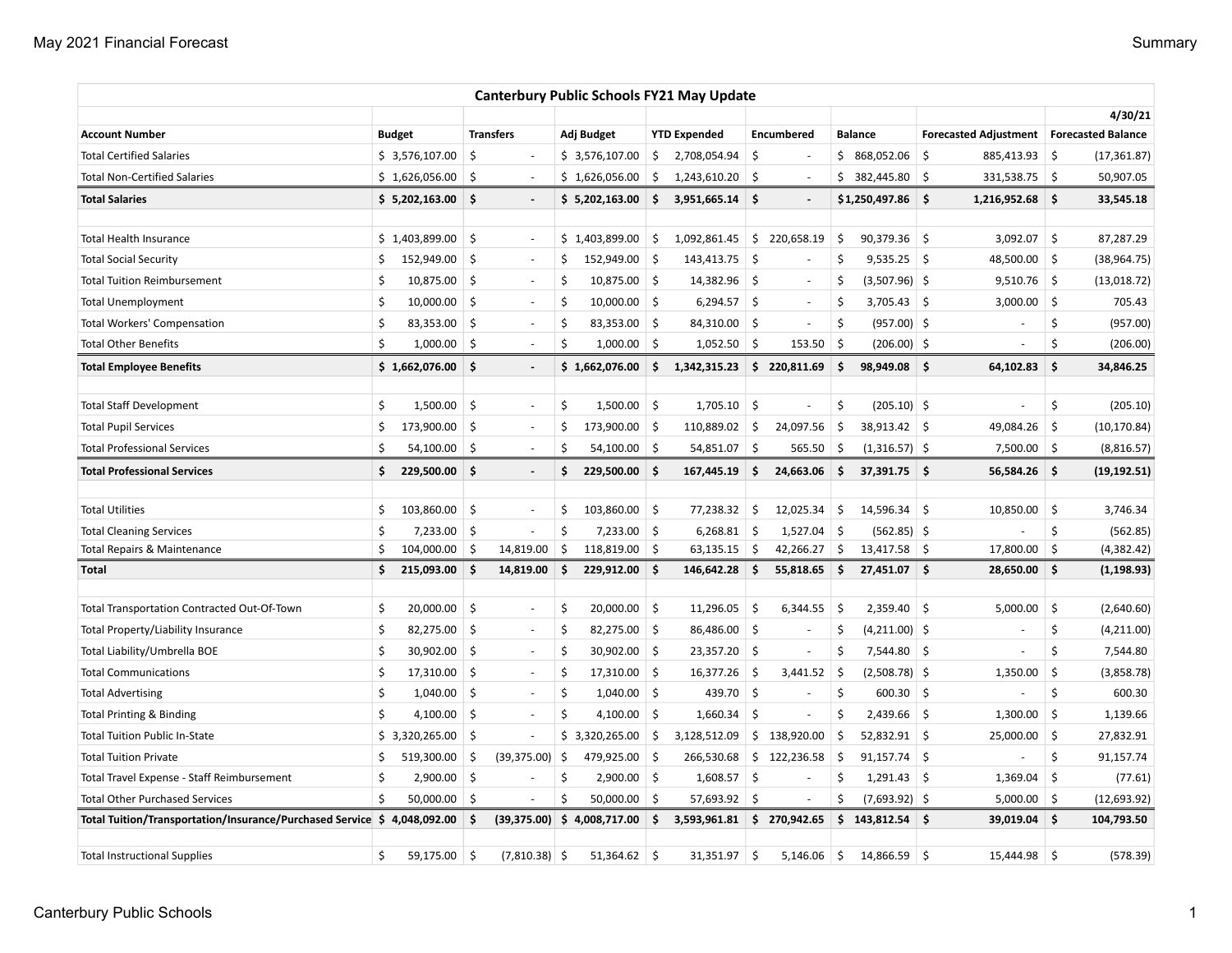|                                                                          |    |                |     |                          |     |                 |     | <b>Canterbury Public Schools FY21 May Update</b> |            |                          |     |                    |     |                                            |            |              |
|--------------------------------------------------------------------------|----|----------------|-----|--------------------------|-----|-----------------|-----|--------------------------------------------------|------------|--------------------------|-----|--------------------|-----|--------------------------------------------|------------|--------------|
|                                                                          |    |                |     |                          |     |                 |     |                                                  |            |                          |     |                    |     |                                            | 4/30/21    |              |
| <b>Account Number</b>                                                    |    | <b>Budget</b>  |     | <b>Transfers</b>         |     | Adj Budget      |     | <b>YTD Expended</b>                              |            | <b>Encumbered</b>        |     | <b>Balance</b>     |     | Forecasted Adjustment   Forecasted Balance |            |              |
| <b>Total Certified Salaries</b>                                          |    | \$3,576,107.00 | \$  | ÷,                       |     | \$3,576,107.00  | \$  | 2,708,054.94                                     | \$         |                          |     | \$ 868,052.06      | -\$ | 885,413.93                                 | S.         | (17, 361.87) |
| <b>Total Non-Certified Salaries</b>                                      |    | \$1,626,056.00 | \$  |                          |     | \$1,626,056.00  | \$  | 1,243,610.20                                     | S,         | $\overline{\phantom{a}}$ |     | \$382,445.80       | \$  | 331,538.75 \$                              |            | 50,907.05    |
| <b>Total Salaries</b>                                                    |    | \$5,202,163.00 | Ŝ.  | $\overline{\phantom{a}}$ |     | \$5,202,163.00  | \$. | 3,951,665.14                                     | -\$        | $\overline{\phantom{a}}$ |     | $$1,250,497.86$ \$ |     | 1,216,952.68                               | ۱\$        | 33,545.18    |
| <b>Total Health Insurance</b>                                            |    | \$1,403,899.00 | \$  | $\sim$                   |     | \$1,403,899.00  | \$  | 1,092,861.45                                     | \$         | 220,658.19               | \$  | 90,379.36          | -\$ | 3,092.07                                   | ∣\$        | 87,287.29    |
| <b>Total Social Security</b>                                             | \$ | 152,949.00     | \$  | $\sim$                   | \$  | 152,949.00      | -\$ | 143,413.75                                       | -\$        | $\sim$                   | \$  | $9,535.25$ \$      |     | 48,500.00 \$                               |            | (38, 964.75) |
| <b>Total Tuition Reimbursement</b>                                       | Ś  | 10,875.00      | \$  | $\sim$                   | \$  | $10,875.00$ \$  |     | 14,382.96                                        | S.         | $\sim$                   | \$  | $(3,507.96)$ \$    |     | 9,510.76                                   | $\vert$ \$ | (13,018.72)  |
| <b>Total Unemployment</b>                                                | \$ | 10,000.00      | \$  | $\overline{\phantom{a}}$ | \$  | $10,000.00$ \$  |     | 6,294.57                                         | S,         | $\sim$                   | \$  | $3,705.43$ \$      |     | 3,000.00                                   | ∣\$        | 705.43       |
| <b>Total Workers' Compensation</b>                                       | \$ | 83,353.00      | \$  | $\overline{\phantom{a}}$ | \$  | 83,353.00 \$    |     | 84,310.00                                        | -\$        | $\sim$                   | \$  | $(957.00)$ \$      |     |                                            | \$         | (957.00)     |
| <b>Total Other Benefits</b>                                              | Ś. | 1,000.00       | -\$ | L.                       | \$  | $1,000.00$ \$   |     | 1,052.50                                         | l \$       | 153.50                   | -\$ | $(206.00)$ \$      |     |                                            | \$         | (206.00)     |
| <b>Total Employee Benefits</b>                                           |    | \$1,662,076.00 | Ŝ.  | $\overline{\phantom{a}}$ |     | \$1,662,076.00  | \$. | 1,342,315.23                                     |            | \$220,811.69             | \$. | 98,949.08 \$       |     | 64,102.83                                  | \$         | 34,846.25    |
| <b>Total Staff Development</b>                                           | \$ | 1,500.00       | \$  | $\overline{\phantom{a}}$ | \$  | $1,500.00$ \$   |     | 1,705.10                                         | \$         | $\overline{a}$           | \$  | $(205.10)$ \$      |     |                                            | \$         | (205.10)     |
| <b>Total Pupil Services</b>                                              | \$ | 173,900.00     | \$  | $\overline{\phantom{a}}$ | \$  | 173,900.00 \$   |     | 110,889.02                                       | \$         | 24,097.56                | \$  | 38,913.42 \$       |     | 49,084.26                                  | \$         | (10, 170.84) |
| <b>Total Professional Services</b>                                       | Ś  | 54,100.00      | S.  | $\sim$                   | Ś   | $54,100.00$ \$  |     | 54,851.07                                        | \$         | 565.50                   | \$  | $(1,316.57)$ \$    |     | $7,500.00$ \$                              |            | (8,816.57)   |
| <b>Total Professional Services</b>                                       | \$ | 229,500.00     | Ŝ.  | $\overline{\phantom{a}}$ | Ś   | 229,500.00      | Ŝ.  | 167,445.19                                       | \$         | 24,663.06                | \$  | $37,391.75$ \$     |     | 56,584.26                                  | ۱\$        | (19, 192.51) |
|                                                                          |    |                |     |                          |     |                 |     |                                                  |            |                          |     |                    |     |                                            |            |              |
| <b>Total Utilities</b>                                                   | \$ | 103,860.00     | \$  | $\sim$                   | \$  | $103,860.00$ \$ |     | 77,238.32                                        | \$.        | 12,025.34                | \$  | $14,596.34$ \$     |     | 10,850.00                                  | -\$        | 3,746.34     |
| <b>Total Cleaning Services</b>                                           | \$ | 7,233.00       | \$  | ä,                       | \$  | $7,233.00$ \$   |     | 6,268.81                                         | -\$        | 1,527.04                 | \$  | $(562.85)$ \$      |     |                                            | \$         | (562.85)     |
| Total Repairs & Maintenance                                              | \$ | 104,000.00     | \$  | 14,819.00                | \$  | 118,819.00      | \$  | 63,135.15                                        | \$         | 42,266.27                | \$  | $13,417.58$ \$     |     | 17,800.00                                  | 5          | (4, 382.42)  |
| Total                                                                    | \$ | 215,093.00     | Ŝ.  | 14,819.00                | -\$ | 229,912.00      | ∣\$ | 146,642.28                                       | \$.        | 55,818.65                | \$. | 27,451.07 \$       |     | 28,650.00                                  | ۱\$        | (1, 198.93)  |
| Total Transportation Contracted Out-Of-Town                              | Ś  | 20,000.00      | \$  | $\sim$                   | \$  | $20,000.00$ \$  |     | 11,296.05                                        | -\$        | 6,344.55                 | -\$ | 2,359.40           | -\$ | 5,000.00                                   | \$         | (2,640.60)   |
| Total Property/Liability Insurance                                       | Ś  | 82,275.00      | -\$ | $\sim$                   | \$  | 82,275.00 \$    |     | 86,486.00                                        | $\vert$ \$ | $\overline{\phantom{a}}$ | \$. | $(4,211.00)$ \$    |     |                                            | \$         | (4,211.00)   |
| Total Liability/Umbrella BOE                                             | Ś  | 30,902.00      | -\$ | $\sim$                   | \$  | $30,902.00$ \$  |     | 23,357.20                                        | $\vert$ \$ | $\overline{\phantom{a}}$ | Ś   | 7,544.80 \$        |     |                                            | Ś          | 7,544.80     |
| <b>Total Communications</b>                                              | Ś  | 17,310.00      | -\$ | $\overline{\phantom{a}}$ | \$  | $17,310.00$ \$  |     | 16,377.26                                        | \$         | 3,441.52                 | Ŝ.  | $(2,508.78)$ \$    |     | 1,350.00                                   | \$         | (3,858.78)   |
| <b>Total Advertising</b>                                                 | Ś  | 1,040.00       | -\$ | $\sim$                   | \$  | $1,040.00$ \$   |     | 439.70                                           | ∣\$        |                          | \$  | $600.30$ \$        |     |                                            | \$         | 600.30       |
| <b>Total Printing &amp; Binding</b>                                      | Ś  | 4,100.00       | -\$ | J.                       | \$  | 4,100.00 \$     |     | 1,660.34                                         | Ŝ.         |                          | Ś   | $2,439.66$ \$      |     | 1,300.00                                   | \$         | 1,139.66     |
| <b>Total Tuition Public In-State</b>                                     |    | \$3,320,265.00 | \$  | J.                       |     | \$3,320,265.00  | \$  | 3,128,512.09                                     |            | \$138,920.00             | \$  | $52,832.91$ \$     |     | 25,000.00                                  | \$         | 27,832.91    |
| <b>Total Tuition Private</b>                                             | \$ | 519,300.00     | \$  | (39, 375.00)             | -\$ | 479,925.00      | \$  | 266,530.68                                       |            | \$122,236.58             | \$. | $91,157.74$ \$     |     |                                            | \$         | 91,157.74    |
| Total Travel Expense - Staff Reimbursement                               | \$ | 2,900.00       | \$  |                          | \$  | $2,900.00$ \$   |     | 1,608.57                                         | \$         |                          | \$  | $1,291.43$ \$      |     | 1,369.04                                   | \$         | (77.61)      |
| <b>Total Other Purchased Services</b>                                    | \$ | 50,000.00      | -\$ | ÷,                       | Ś   | 50,000.00       | \$  | 57,693.92                                        | Ŝ.         |                          | \$  | $(7,693.92)$ \$    |     | 5,000.00                                   | ∣\$        | (12, 693.92) |
| Total Tuition/Transportation/Insurance/Purchased Service \$ 4,048,092.00 |    |                | \$  | (39, 375.00)             |     | \$4,008,717.00  | \$  | 3,593,961.81                                     |            | \$270,942.65             |     | $$143,812.54$ \$   |     | 39,019.04                                  | ۱\$        | 104,793.50   |
| <b>Total Instructional Supplies</b>                                      | \$ | 59,175.00      | \$  | $(7,810.38)$ \$          |     | $51,364.62$ \$  |     | 31,351.97                                        | \$         | 5,146.06                 | \$  | 14,866.59          | -\$ | 15,444.98                                  | 5          | (578.39)     |